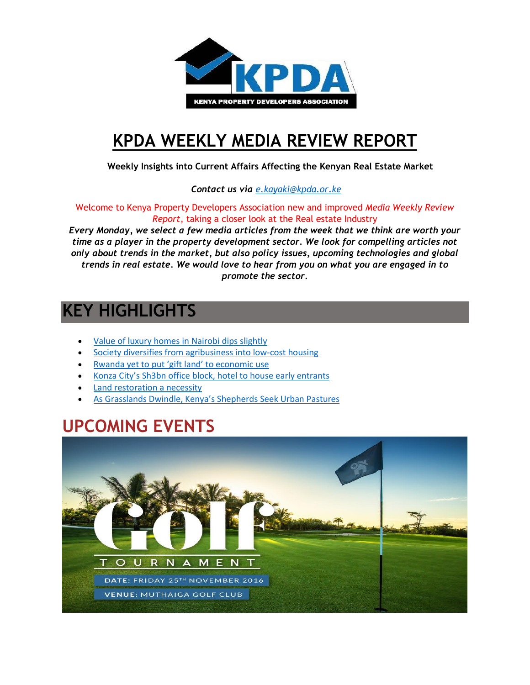

# **[KPDA WEEKLY MEDIA REVIEW REPORT](http://kpda.or.ke/)**

 **Weekly Insights into Current Affairs Affecting the Kenyan Real Estate Market**

 *Contact us via [e.kayaki@kpda.or](mailto:e.kayaki@kpda.or.ke).ke*

Welcome to Kenya Property Developers Association new and improved *Media Weekly Review Report*, taking a closer look at the Real estate Industry

*Every Monday, we select a few media articles from the week that we think are worth your time as a player in the property development sector. We look for compelling articles not only about trends in the market, but also policy issues, upcoming technologies and global trends in real estate. We would love to hear from you on what you are engaged in to promote the sector.*

### **KEY HIGHLIGHTS**

- [Value of luxury homes in Nairobi dips slightly](http://www.nation.co.ke/lifestyle/DN2/Value-of-luxury-homes-in-Nairobi-dips-slightly/957860-3454590-bhadq7z/index.html)
- [Society diversifies from agribusiness into low-cost housing](http://www.businessdailyafrica.com/Society-diversifies-from-agribusiness-into-low-cost-housing/1248928-3452124-vea3s8z/index.html)
- [Rwanda yet to put 'gift land' to economic use](http://www.theeastafrican.co.ke/Rwanda/News/Rwanda-yet-to-put-gift-land-to-economic-use-/1433218-3451964-qm0b5pz/index.html)
- [Konza City's Sh3bn office block, hotel to house early entrants](http://www.businessdailyafrica.com/Konza-City-s-Sh3bn-office-block--hotel-to-house-early-entrants/539546-3453580-niskbs/index.html)
- [Land restoration a necessity](http://www.nation.co.ke/oped/Opinion/land-restoration-is-a-necessity/440808-3456070-uhpr4qz/index.html)
- [As Grasslands Dwindle, Kenya's Shepherds Seek Urban Pastures](http://www.nytimes.com/2016/11/15/world/africa/as-grasslands-dwindle-kenyas-shepherds-seek-urban-pastures.html?_r=0)

## **UPCOMING EVENTS**

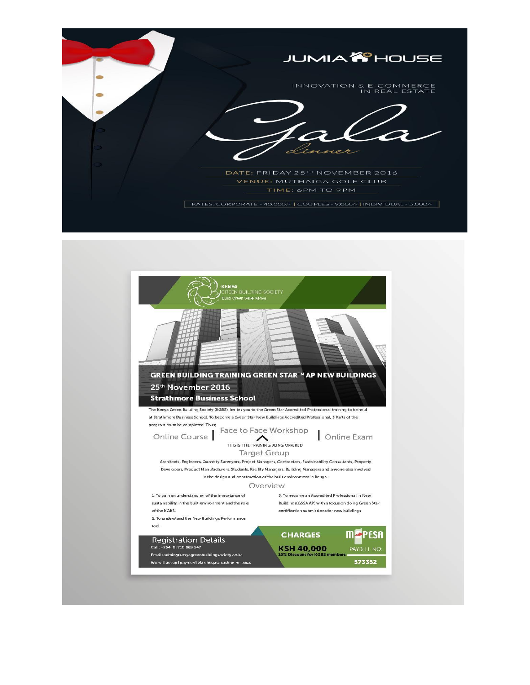